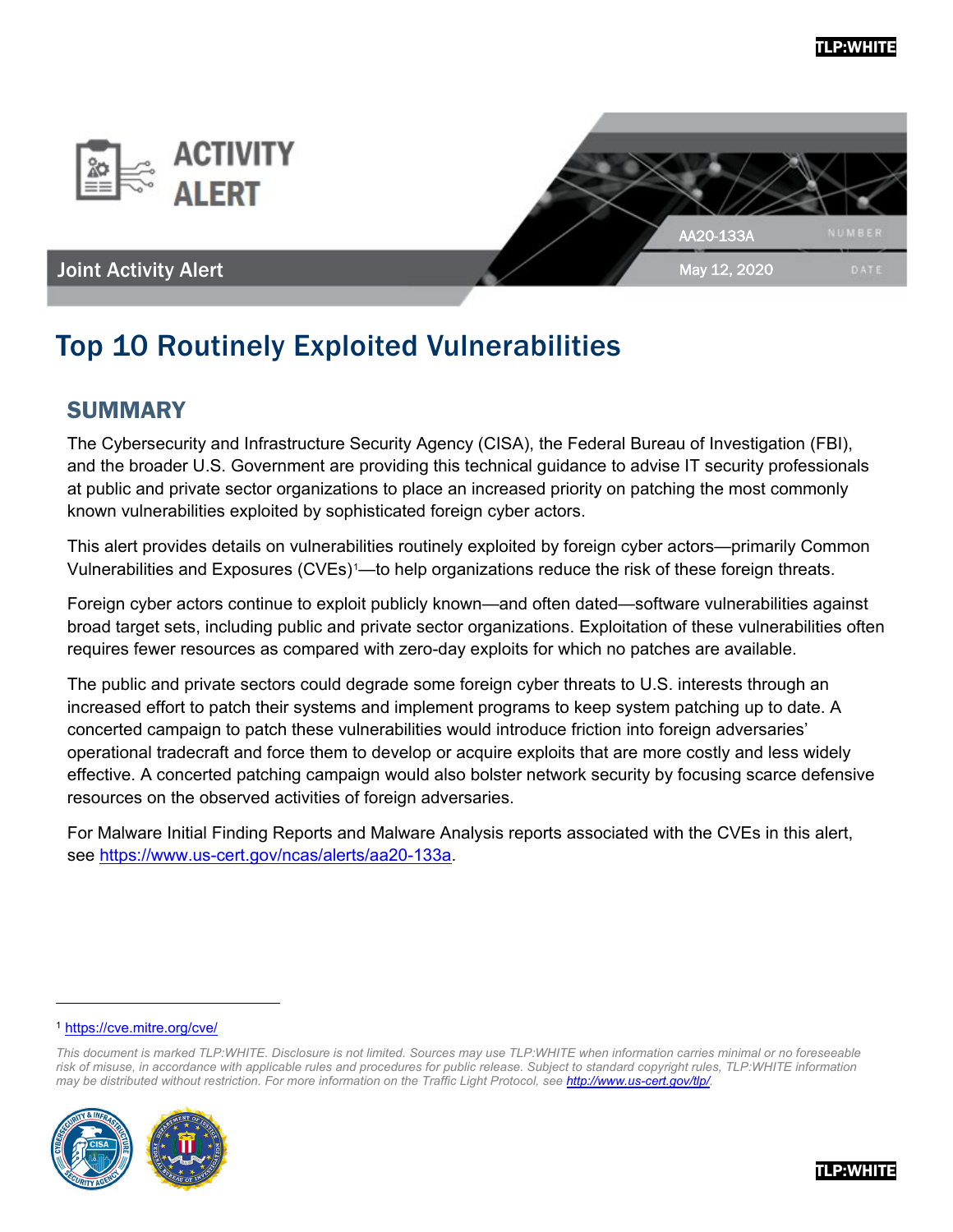





## Joint Activity Alert

# Top 10 Routinely Exploited Vulnerabilities

## SUMMARY

The Cybersecurity and Infrastructure Security Agency (CISA), the Federal Bureau of Investigation (FBI), and the broader U.S. Government are providing this technical guidance to advise IT security professionals at public and private sector organizations to place an increased priority on patching the most commonly known vulnerabilities exploited by sophisticated foreign cyber actors.

This alert provides details on vulnerabilities routinely exploited by foreign cyber actors—primarily Common Vulnerabilities and Exposures (CVEs)[1](#page-0-0)—to help organizations reduce the risk of these foreign threats.

Foreign cyber actors continue to exploit publicly known—and often dated—software vulnerabilities against broad target sets, including public and private sector organizations. Exploitation of these vulnerabilities often requires fewer resources as compared with zero-day exploits for which no patches are available.

The public and private sectors could degrade some foreign cyber threats to U.S. interests through an increased effort to patch their systems and implement programs to keep system patching up to date. A concerted campaign to patch these vulnerabilities would introduce friction into foreign adversaries' operational tradecraft and force them to develop or acquire exploits that are more costly and less widely effective. A concerted patching campaign would also bolster network security by focusing scarce defensive resources on the observed activities of foreign adversaries.

For Malware Initial Finding Reports and Malware Analysis reports associated with the CVEs in this alert, see [https://www.us-cert.gov/ncas/alerts/aa20-133a.](https://www.us-cert.gov/ncas/alerts/aa20-133a)

 $\overline{a}$ 

<span id="page-0-0"></span>*This document is marked TLP:WHITE. Disclosure is not limited. Sources may use TLP:WHITE when information carries minimal or no foreseeable risk of misuse, in accordance with applicable rules and procedures for public release. Subject to standard copyright rules, TLP:WHITE information may be distributed without restriction. For more information on the Traffic Light Protocol, see [http://www.us-cert.gov/tlp/.](http://www.us-cert.gov/tlp/)* 





<sup>1</sup> <https://cve.mitre.org/cve/>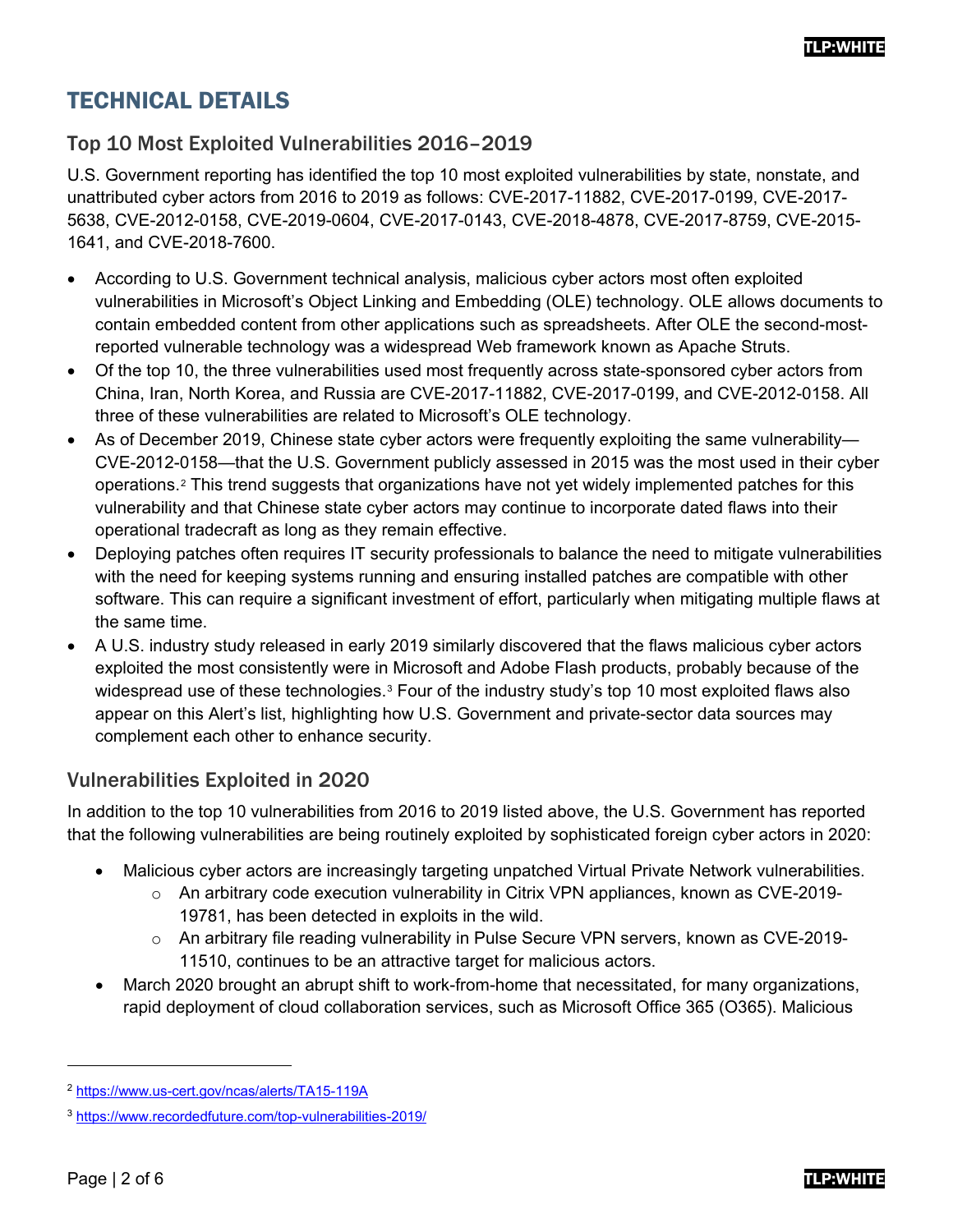## TECHNICAL DETAILS

## Top 10 Most Exploited Vulnerabilities 2016–2019

U.S. Government reporting has identified the top 10 most exploited vulnerabilities by state, nonstate, and unattributed cyber actors from 2016 to 2019 as follows: CVE-2017-11882, CVE-2017-0199, CVE-2017- 5638, CVE-2012-0158, CVE-2019-0604, CVE-2017-0143, CVE-2018-4878, CVE-2017-8759, CVE-2015- 1641, and CVE-2018-7600.

- According to U.S. Government technical analysis, malicious cyber actors most often exploited vulnerabilities in Microsoft's Object Linking and Embedding (OLE) technology. OLE allows documents to contain embedded content from other applications such as spreadsheets. After OLE the second-mostreported vulnerable technology was a widespread Web framework known as Apache Struts.
- Of the top 10, the three vulnerabilities used most frequently across state-sponsored cyber actors from China, Iran, North Korea, and Russia are CVE-2017-11882, CVE-2017-0199, and CVE-2012-0158. All three of these vulnerabilities are related to Microsoft's OLE technology.
- As of December 2019, Chinese state cyber actors were frequently exploiting the same vulnerability— CVE-2012-0158—that the U.S. Government publicly assessed in 2015 was the most used in their cyber operations.[2](#page-1-0) This trend suggests that organizations have not yet widely implemented patches for this vulnerability and that Chinese state cyber actors may continue to incorporate dated flaws into their operational tradecraft as long as they remain effective.
- Deploying patches often requires IT security professionals to balance the need to mitigate vulnerabilities with the need for keeping systems running and ensuring installed patches are compatible with other software. This can require a significant investment of effort, particularly when mitigating multiple flaws at the same time.
- A U.S. industry study released in early 2019 similarly discovered that the flaws malicious cyber actors exploited the most consistently were in Microsoft and Adobe Flash products, probably because of the widespread use of these technologies. $^{\text{3}}$  $^{\text{3}}$  $^{\text{3}}$  Four of the industry study's top 10 most exploited flaws also appear on this Alert's list, highlighting how U.S. Government and private-sector data sources may complement each other to enhance security.

## Vulnerabilities Exploited in 2020

In addition to the top 10 vulnerabilities from 2016 to 2019 listed above, the U.S. Government has reported that the following vulnerabilities are being routinely exploited by sophisticated foreign cyber actors in 2020:

- Malicious cyber actors are increasingly targeting unpatched Virtual Private Network vulnerabilities.
	- o An arbitrary code execution vulnerability in Citrix VPN appliances, known as CVE-2019- 19781, has been detected in exploits in the wild.
	- o An arbitrary file reading vulnerability in Pulse Secure VPN servers, known as CVE-2019- 11510, continues to be an attractive target for malicious actors.
- March 2020 brought an abrupt shift to work-from-home that necessitated, for many organizations, rapid deployment of cloud collaboration services, such as Microsoft Office 365 (O365). Malicious

 $\overline{a}$ 

<span id="page-1-0"></span><sup>2</sup> <https://www.us-cert.gov/ncas/alerts/TA15-119A>

<span id="page-1-1"></span><sup>3</sup> <https://www.recordedfuture.com/top-vulnerabilities-2019/>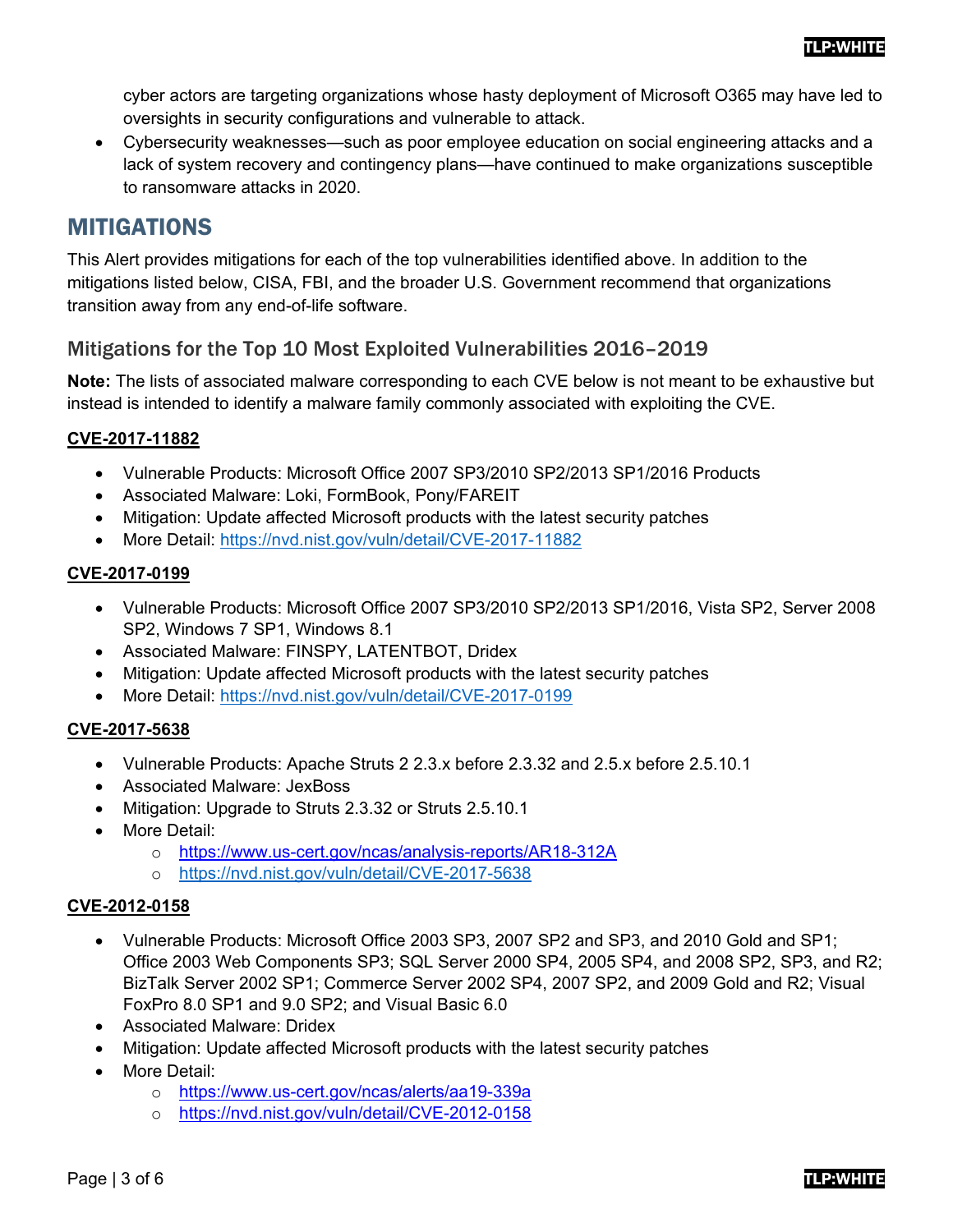cyber actors are targeting organizations whose hasty deployment of Microsoft O365 may have led to oversights in security configurations and vulnerable to attack.

• Cybersecurity weaknesses—such as poor employee education on social engineering attacks and a lack of system recovery and contingency plans—have continued to make organizations susceptible to ransomware attacks in 2020.

## MITIGATIONS

This Alert provides mitigations for each of the top vulnerabilities identified above. In addition to the mitigations listed below, CISA, FBI, and the broader U.S. Government recommend that organizations transition away from any end-of-life software.

## Mitigations for the Top 10 Most Exploited Vulnerabilities 2016–2019

**Note:** The lists of associated malware corresponding to each CVE below is not meant to be exhaustive but instead is intended to identify a malware family commonly associated with exploiting the CVE.

#### **CVE-2017-11882**

- Vulnerable Products: Microsoft Office 2007 SP3/2010 SP2/2013 SP1/2016 Products
- Associated Malware: Loki, FormBook, Pony/FAREIT
- Mitigation: Update affected Microsoft products with the latest security patches
- More Detail:<https://nvd.nist.gov/vuln/detail/CVE-2017-11882>

#### **CVE-2017-0199**

- Vulnerable Products: Microsoft Office 2007 SP3/2010 SP2/2013 SP1/2016, Vista SP2, Server 2008 SP2, Windows 7 SP1, Windows 8.1
- Associated Malware: FINSPY, LATENTBOT, Dridex
- Mitigation: Update affected Microsoft products with the latest security patches
- More Detail:<https://nvd.nist.gov/vuln/detail/CVE-2017-0199>

### **CVE-2017-5638**

- Vulnerable Products: Apache Struts 2 2.3.x before 2.3.32 and 2.5.x before 2.5.10.1
- Associated Malware: JexBoss
- Mitigation: Upgrade to Struts 2.3.32 or Struts 2.5.10.1
- More Detail:
	- o <https://www.us-cert.gov/ncas/analysis-reports/AR18-312A>
	- o <https://nvd.nist.gov/vuln/detail/CVE-2017-5638>

#### **CVE-2012-0158**

- Vulnerable Products: Microsoft Office 2003 SP3, 2007 SP2 and SP3, and 2010 Gold and SP1; Office 2003 Web Components SP3; SQL Server 2000 SP4, 2005 SP4, and 2008 SP2, SP3, and R2; BizTalk Server 2002 SP1; Commerce Server 2002 SP4, 2007 SP2, and 2009 Gold and R2; Visual FoxPro 8.0 SP1 and 9.0 SP2; and Visual Basic 6.0
- Associated Malware: Dridex
- Mitigation: Update affected Microsoft products with the latest security patches
- More Detail:
	- o <https://www.us-cert.gov/ncas/alerts/aa19-339a>
	- o <https://nvd.nist.gov/vuln/detail/CVE-2012-0158>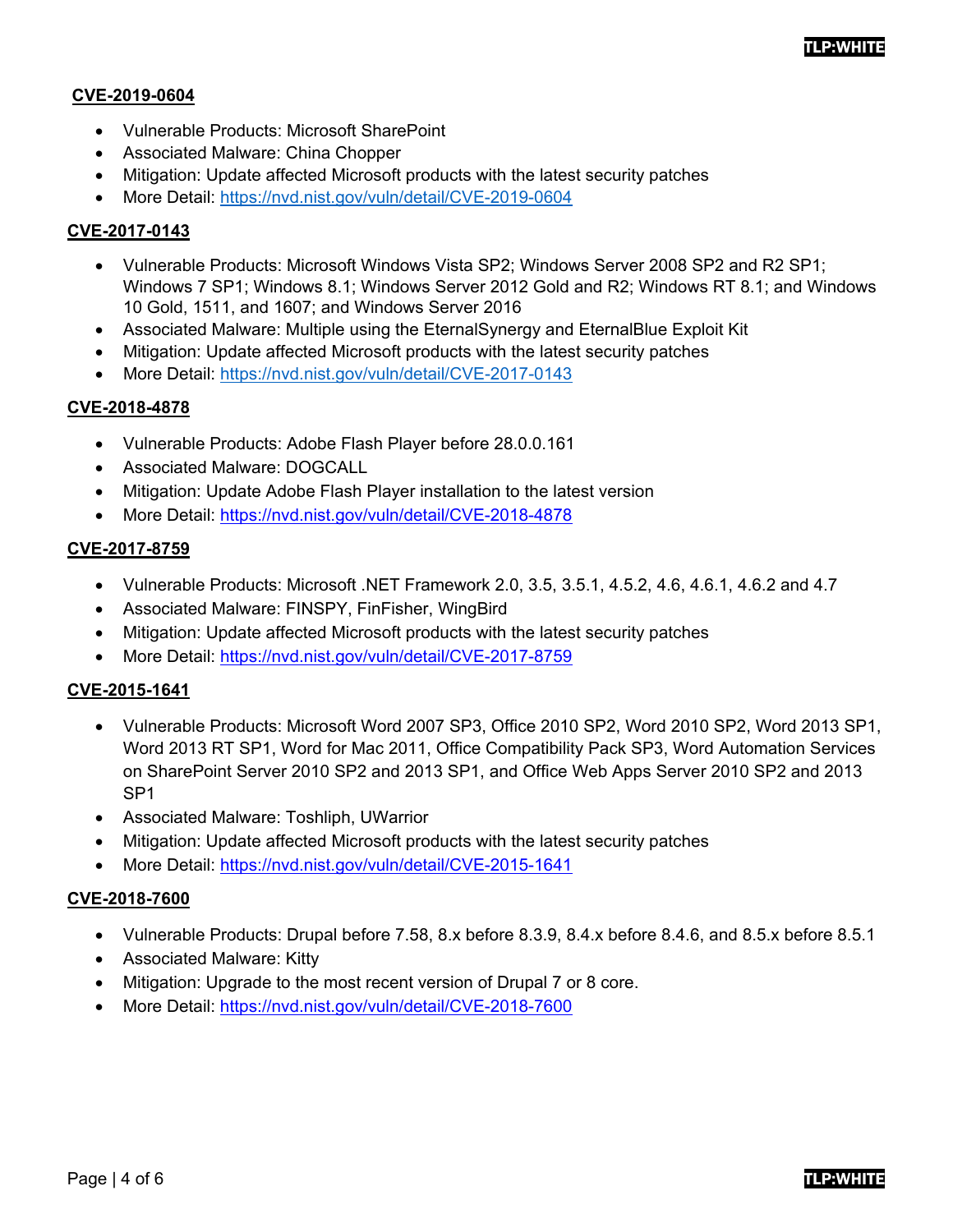#### TLP:WHITE

#### **CVE-2019-0604**

- Vulnerable Products: Microsoft SharePoint
- Associated Malware: China Chopper
- Mitigation: Update affected Microsoft products with the latest security patches
- More Detail:<https://nvd.nist.gov/vuln/detail/CVE-2019-0604>

#### **CVE-2017-0143**

- Vulnerable Products: Microsoft Windows Vista SP2; Windows Server 2008 SP2 and R2 SP1; Windows 7 SP1; Windows 8.1; Windows Server 2012 Gold and R2; Windows RT 8.1; and Windows 10 Gold, 1511, and 1607; and Windows Server 2016
- Associated Malware: Multiple using the EternalSynergy and EternalBlue Exploit Kit
- Mitigation: Update affected Microsoft products with the latest security patches
- More Detail:<https://nvd.nist.gov/vuln/detail/CVE-2017-0143>

#### **CVE-2018-4878**

- Vulnerable Products: Adobe Flash Player before 28.0.0.161
- Associated Malware: DOGCALL
- Mitigation: Update Adobe Flash Player installation to the latest version
- More Detail:<https://nvd.nist.gov/vuln/detail/CVE-2018-4878>

#### **CVE-2017-8759**

- Vulnerable Products: Microsoft .NET Framework 2.0, 3.5, 3.5.1, 4.5.2, 4.6, 4.6.1, 4.6.2 and 4.7
- Associated Malware: FINSPY, FinFisher, WingBird
- Mitigation: Update affected Microsoft products with the latest security patches
- More Detail:<https://nvd.nist.gov/vuln/detail/CVE-2017-8759>

#### **CVE-2015-1641**

- Vulnerable Products: Microsoft Word 2007 SP3, Office 2010 SP2, Word 2010 SP2, Word 2013 SP1, Word 2013 RT SP1, Word for Mac 2011, Office Compatibility Pack SP3, Word Automation Services on SharePoint Server 2010 SP2 and 2013 SP1, and Office Web Apps Server 2010 SP2 and 2013 SP1
- Associated Malware: Toshliph, UWarrior
- Mitigation: Update affected Microsoft products with the latest security patches
- More Detail:<https://nvd.nist.gov/vuln/detail/CVE-2015-1641>

#### **CVE-2018-7600**

- Vulnerable Products: Drupal before 7.58, 8.x before 8.3.9, 8.4.x before 8.4.6, and 8.5.x before 8.5.1
- Associated Malware: Kitty
- Mitigation: Upgrade to the most recent version of Drupal 7 or 8 core.
- More Detail:<https://nvd.nist.gov/vuln/detail/CVE-2018-7600>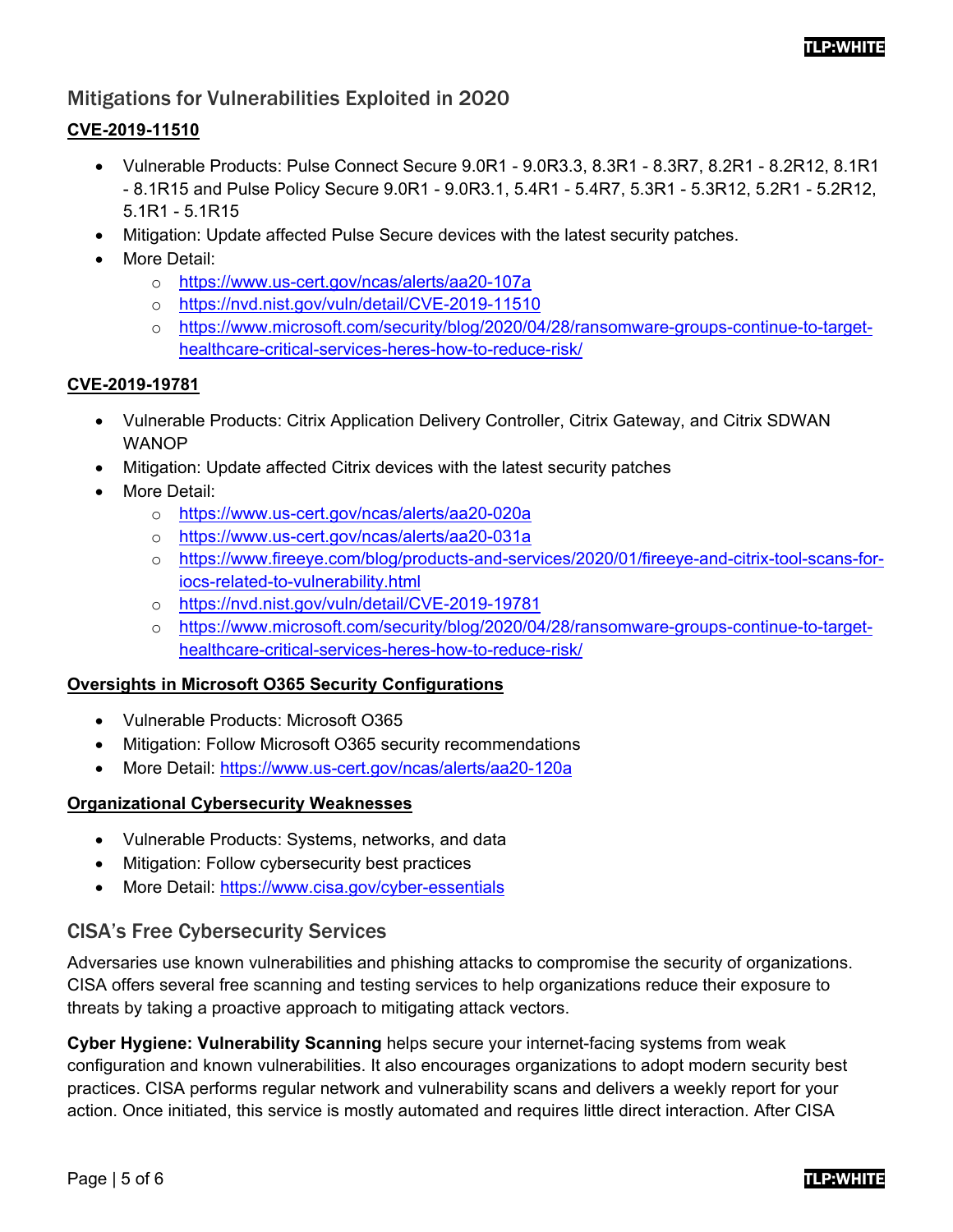## Mitigations for Vulnerabilities Exploited in 2020

## **CVE-2019-11510**

- Vulnerable Products: Pulse Connect Secure 9.0R1 9.0R3.3, 8.3R1 8.3R7, 8.2R1 8.2R12, 8.1R1 - 8.1R15 and Pulse Policy Secure 9.0R1 - 9.0R3.1, 5.4R1 - 5.4R7, 5.3R1 - 5.3R12, 5.2R1 - 5.2R12, 5.1R1 - 5.1R15
- Mitigation: Update affected Pulse Secure devices with the latest security patches.
- More Detail:
	- o <https://www.us-cert.gov/ncas/alerts/aa20-107a>
	- o <https://nvd.nist.gov/vuln/detail/CVE-2019-11510>
	- o [https://www.microsoft.com/security/blog/2020/04/28/ransomware-groups-continue-to-target](https://www.microsoft.com/security/blog/2020/04/28/ransomware-groups-continue-to-target-healthcare-critical-services-heres-how-to-reduce-risk/)[healthcare-critical-services-heres-how-to-reduce-risk/](https://www.microsoft.com/security/blog/2020/04/28/ransomware-groups-continue-to-target-healthcare-critical-services-heres-how-to-reduce-risk/)

### **CVE-2019-19781**

- Vulnerable Products: Citrix Application Delivery Controller, Citrix Gateway, and Citrix SDWAN WANOP
- Mitigation: Update affected Citrix devices with the latest security patches
- More Detail:
	- o <https://www.us-cert.gov/ncas/alerts/aa20-020a>
	- o <https://www.us-cert.gov/ncas/alerts/aa20-031a>
	- o [https://www.fireeye.com/blog/products-and-services/2020/01/fireeye-and-citrix-tool-scans-for](https://www.fireeye.com/blog/products-and-services/2020/01/fireeye-and-citrix-tool-scans-for-iocs-related-to-vulnerability.html)[iocs-related-to-vulnerability.html](https://www.fireeye.com/blog/products-and-services/2020/01/fireeye-and-citrix-tool-scans-for-iocs-related-to-vulnerability.html)
	- o <https://nvd.nist.gov/vuln/detail/CVE-2019-19781>
	- o [https://www.microsoft.com/security/blog/2020/04/28/ransomware-groups-continue-to-target](https://www.microsoft.com/security/blog/2020/04/28/ransomware-groups-continue-to-target-healthcare-critical-services-heres-how-to-reduce-risk/)[healthcare-critical-services-heres-how-to-reduce-risk/](https://www.microsoft.com/security/blog/2020/04/28/ransomware-groups-continue-to-target-healthcare-critical-services-heres-how-to-reduce-risk/)

#### **Oversights in Microsoft O365 Security Configurations**

- Vulnerable Products: Microsoft O365
- Mitigation: Follow Microsoft O365 security recommendations
- More Detail: https://www.us-cert.gov/ncas/alerts/aa20-120a

#### **Organizational Cybersecurity Weaknesses**

- Vulnerable Products: Systems, networks, and data
- Mitigation: Follow cybersecurity best practices
- More Detail: <https://www.cisa.gov/cyber-essentials>

## CISA's Free Cybersecurity Services

Adversaries use known vulnerabilities and phishing attacks to compromise the security of organizations. CISA offers several free scanning and testing services to help organizations reduce their exposure to threats by taking a proactive approach to mitigating attack vectors.

**Cyber Hygiene: Vulnerability Scanning** helps secure your internet-facing systems from weak configuration and known vulnerabilities. It also encourages organizations to adopt modern security best practices. CISA performs regular network and vulnerability scans and delivers a weekly report for your action. Once initiated, this service is mostly automated and requires little direct interaction. After CISA